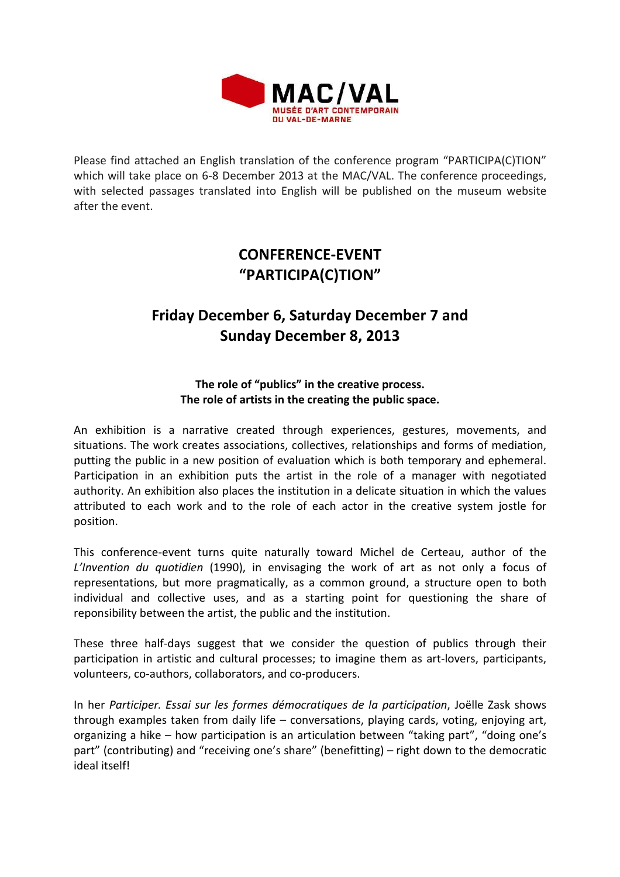

Please find attached an English translation of the conference program "PARTICIPA(C)TION" which will take place on 6-8 December 2013 at the MAC/VAL. The conference proceedings, with selected passages translated into English will be published on the museum website after the event.

## **CONFERENCE-EVENT "PARTICIPA(C)TION"**

# **Friday December 6, Saturday December 7 and Sunday December 8, 2013**

## **The role of "publics" in the creative process. The role of artists in the creating the public space.**

An exhibition is a narrative created through experiences, gestures, movements, and situations. The work creates associations, collectives, relationships and forms of mediation, putting the public in a new position of evaluation which is both temporary and ephemeral. Participation in an exhibition puts the artist in the role of a manager with negotiated authority. An exhibition also places the institution in a delicate situation in which the values attributed to each work and to the role of each actor in the creative system jostle for position.

This conference-event turns quite naturally toward Michel de Certeau, author of the *L'Invention du quotidien* (1990), in envisaging the work of art as not only a focus of representations, but more pragmatically, as a common ground, a structure open to both individual and collective uses, and as a starting point for questioning the share of reponsibility between the artist, the public and the institution.

These three half-days suggest that we consider the question of publics through their participation in artistic and cultural processes; to imagine them as art-lovers, participants, volunteers, co-authors, collaborators, and co-producers.

In her *Participer. Essai sur les formes démocratiques de la participation*, Joëlle Zask shows through examples taken from daily life – conversations, playing cards, voting, enjoying art, organizing a hike – how participation is an articulation between "taking part", "doing one's part" (contributing) and "receiving one's share" (benefitting) – right down to the democratic ideal itself!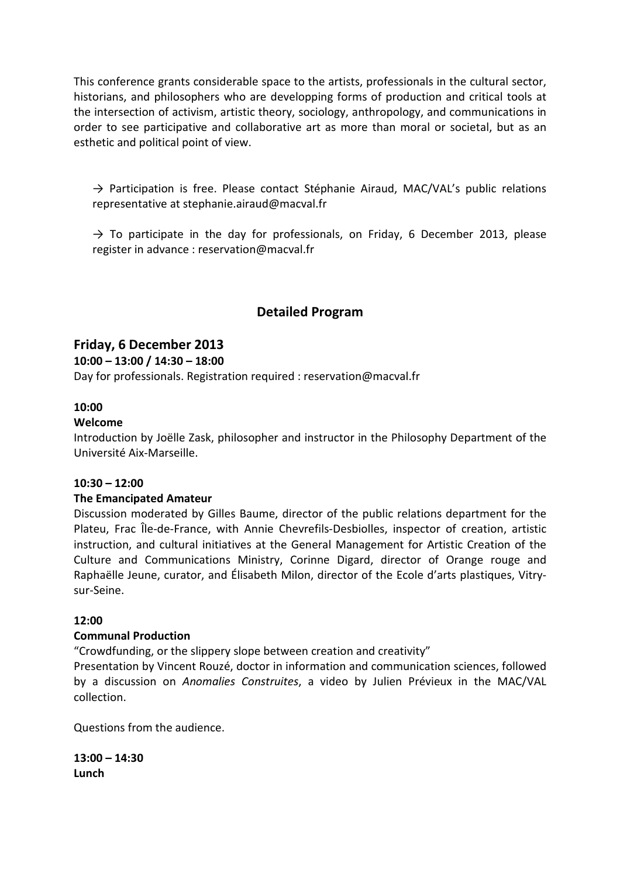This conference grants considerable space to the artists, professionals in the cultural sector, historians, and philosophers who are developping forms of production and critical tools at the intersection of activism, artistic theory, sociology, anthropology, and communications in order to see participative and collaborative art as more than moral or societal, but as an esthetic and political point of view.

 $\rightarrow$  Participation is free. Please contact Stéphanie Airaud. MAC/VAL's public relations representative at stephanie.airaud@macval.fr

 $\rightarrow$  To participate in the day for professionals, on Friday, 6 December 2013, please register in advance : reservation@macval.fr

## **Detailed Program**

## **Friday, 6 December 2013**

#### **10:00 – 13:00 / 14:30 – 18:00**

Day for professionals. Registration required : reservation@macval.fr

#### **10:00**

#### **Welcome**

Introduction by Joëlle Zask, philosopher and instructor in the Philosophy Department of the Université Aix-Marseille.

#### **10:30 – 12:00**

#### **The Emancipated Amateur**

Discussion moderated by Gilles Baume, director of the public relations department for the Plateu, Frac Île-de-France, with Annie Chevrefils-Desbiolles, inspector of creation, artistic instruction, and cultural initiatives at the General Management for Artistic Creation of the Culture and Communications Ministry, Corinne Digard, director of Orange rouge and Raphaëlle Jeune, curator, and Élisabeth Milon, director of the Ecole d'arts plastiques, Vitrysur-Seine.

## **12:00**

#### **Communal Production**

"Crowdfunding, or the slippery slope between creation and creativity"

Presentation by Vincent Rouzé, doctor in information and communication sciences, followed by a discussion on *Anomalies Construites*, a video by Julien Prévieux in the MAC/VAL collection.

Questions from the audience.

**13:00 – 14:30 Lunch**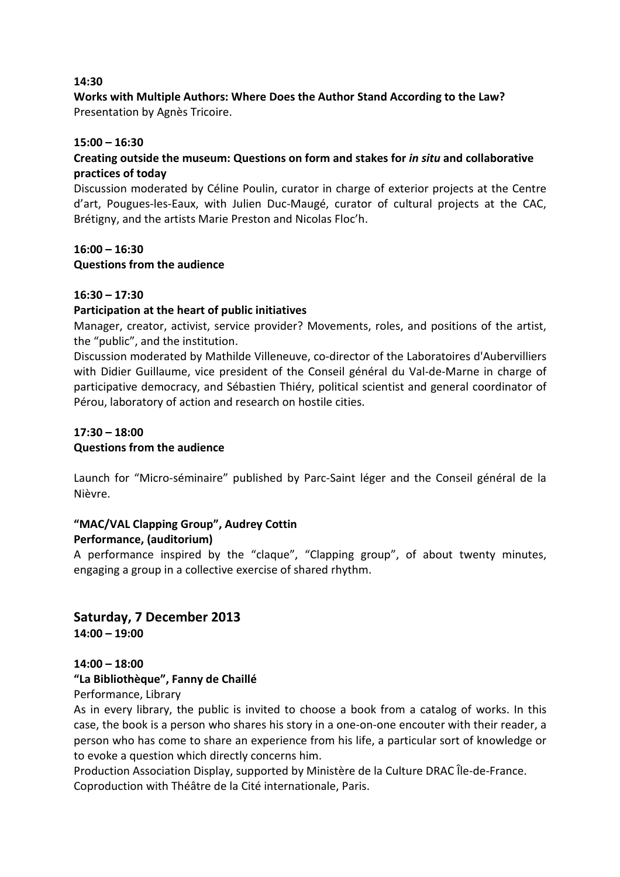#### **14:30**

# **Works with Multiple Authors: Where Does the Author Stand According to the Law?**

Presentation by Agnès Tricoire.

#### **15:00 – 16:30**

## **Creating outside the museum: Questions on form and stakes for** *in situ* **and collaborative practices of today**

Discussion moderated by Céline Poulin, curator in charge of exterior projects at the Centre d'art, Pougues-les-Eaux, with Julien Duc-Maugé, curator of cultural projects at the CAC, Brétigny, and the artists Marie Preston and Nicolas Floc'h.

#### **16:00 – 16:30**

#### **Questions from the audience**

## **16:30 – 17:30**

## **Participation at the heart of public initiatives**

Manager, creator, activist, service provider? Movements, roles, and positions of the artist, the "public", and the institution.

Discussion moderated by Mathilde Villeneuve, co-director of the Laboratoires d'Aubervilliers with Didier Guillaume, vice president of the Conseil général du Val-de-Marne in charge of participative democracy, and Sébastien Thiéry, political scientist and general coordinator of Pérou, laboratory of action and research on hostile cities.

## **17:30 – 18:00 Questions from the audience**

Launch for "Micro-séminaire" published by Parc-Saint léger and the Conseil général de la Nièvre.

## **"MAC/VAL Clapping Group", Audrey Cottin**

## **Performance, (auditorium)**

A performance inspired by the "claque", "Clapping group", of about twenty minutes, engaging a group in a collective exercise of shared rhythm.

## **Saturday, 7 December 2013 14:00 – 19:00**

#### **14:00 – 18:00**

#### **"La Bibliothèque", Fanny de Chaillé**

Performance, Library

As in every library, the public is invited to choose a book from a catalog of works. In this case, the book is a person who shares his story in a one-on-one encouter with their reader, a person who has come to share an experience from his life, a particular sort of knowledge or to evoke a question which directly concerns him.

Production Association Display, supported by Ministère de la Culture DRAC Île-de-France. Coproduction with Théâtre de la Cité internationale, Paris.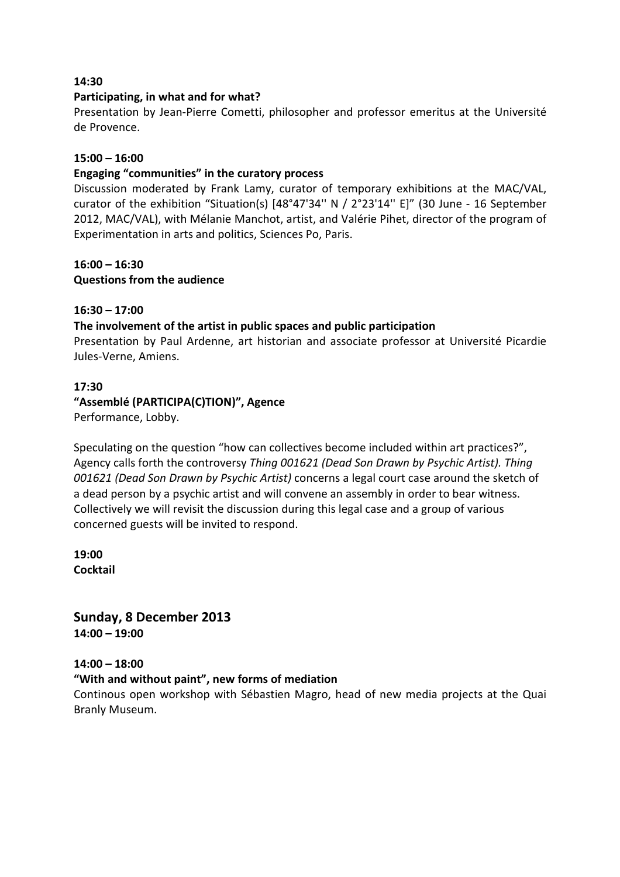#### **14:30**

#### **Participating, in what and for what?**

Presentation by Jean-Pierre Cometti, philosopher and professor emeritus at the Université de Provence.

#### **15:00 – 16:00**

#### **Engaging "communities" in the curatory process**

Discussion moderated by Frank Lamy, curator of temporary exhibitions at the MAC/VAL, curator of the exhibition "Situation(s) [48°47'34'' N / 2°23'14'' E]" (30 June - 16 September 2012, MAC/VAL), with Mélanie Manchot, artist, and Valérie Pihet, director of the program of Experimentation in arts and politics, Sciences Po, Paris.

#### **16:00 – 16:30**

## **Questions from the audience**

## **16:30 – 17:00**

#### **The involvement of the artist in public spaces and public participation**

Presentation by Paul Ardenne, art historian and associate professor at Université Picardie Jules-Verne, Amiens.

#### **17:30**

#### **"Assemblé (PARTICIPA(C)TION)", Agence**

Performance, Lobby.

Speculating on the question "how can collectives become included within art practices?", Agency calls forth the controversy *Thing 001621 (Dead Son Drawn by Psychic Artist). Thing 001621 (Dead Son Drawn by Psychic Artist)* concerns a legal court case around the sketch of a dead person by a psychic artist and will convene an assembly in order to bear witness. Collectively we will revisit the discussion during this legal case and a group of various concerned guests will be invited to respond.

**19:00 Cocktail** 

**Sunday, 8 December 2013 14:00 – 19:00** 

**14:00 – 18:00** 

## **"With and without paint", new forms of mediation**

Continous open workshop with Sébastien Magro, head of new media projects at the Quai Branly Museum.